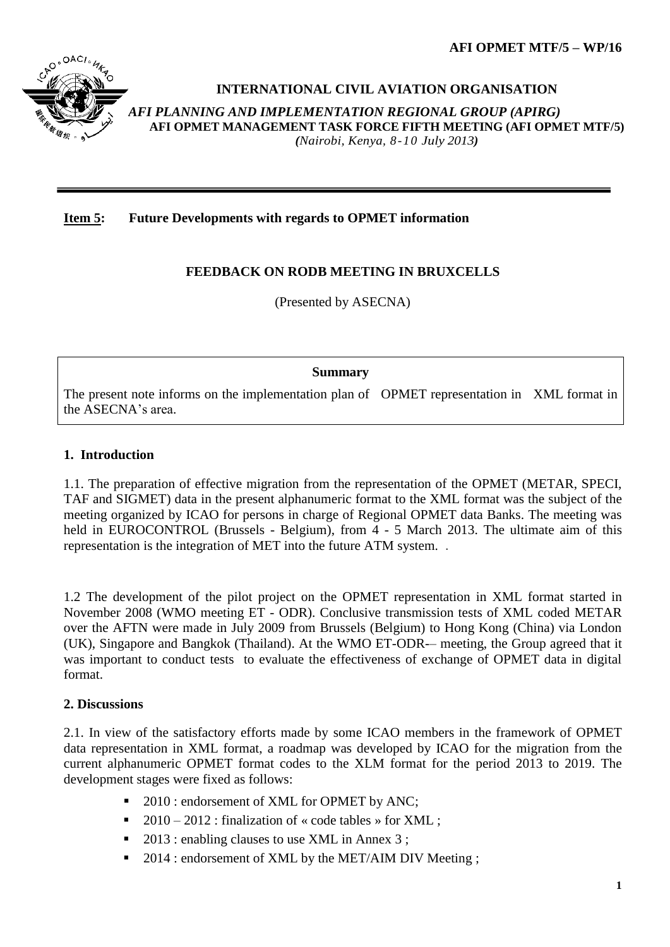**AFI OPMET MTF/5 – WP/16**



### **INTERNATIONAL CIVIL AVIATION ORGANISATION**

*AFI PLANNING AND IMPLEMENTATION REGIONAL GROUP (APIRG)* **AFI OPMET MANAGEMENT TASK FORCE FIFTH MEETING (AFI OPMET MTF/5)**  *(Nairobi, Kenya, 8-10 July 2013)*

**Item 5: Future Developments with regards to OPMET information**

## **FEEDBACK ON RODB MEETING IN BRUXCELLS**

(Presented by ASECNA)

#### **Summary**

The present note informs on the implementation plan of OPMET representation in XML format in the ASECNA's area.

#### **1. Introduction**

1.1. The preparation of effective migration from the representation of the OPMET (METAR, SPECI, TAF and SIGMET) data in the present alphanumeric format to the XML format was the subject of the meeting organized by ICAO for persons in charge of Regional OPMET data Banks. The meeting was held in EUROCONTROL (Brussels - Belgium), from 4 - 5 March 2013. The ultimate aim of this representation is the integration of MET into the future ATM system. .

1.2 The development of the pilot project on the OPMET representation in XML format started in November 2008 (WMO meeting ET - ODR). Conclusive transmission tests of XML coded METAR over the AFTN were made in July 2009 from Brussels (Belgium) to Hong Kong (China) via London (UK), Singapore and Bangkok (Thailand). At the WMO ET-ODR-– meeting, the Group agreed that it was important to conduct tests to evaluate the effectiveness of exchange of OPMET data in digital format.

### **2. Discussions**

2.1. In view of the satisfactory efforts made by some ICAO members in the framework of OPMET data representation in XML format, a roadmap was developed by ICAO for the migration from the current alphanumeric OPMET format codes to the XLM format for the period 2013 to 2019. The development stages were fixed as follows:

- 2010 : endorsement of XML for OPMET by ANC;
- 2010 2012 : finalization of « code tables » for XML :
- 2013 : enabling clauses to use XML in Annex 3 ;
- 2014 : endorsement of XML by the MET/AIM DIV Meeting ;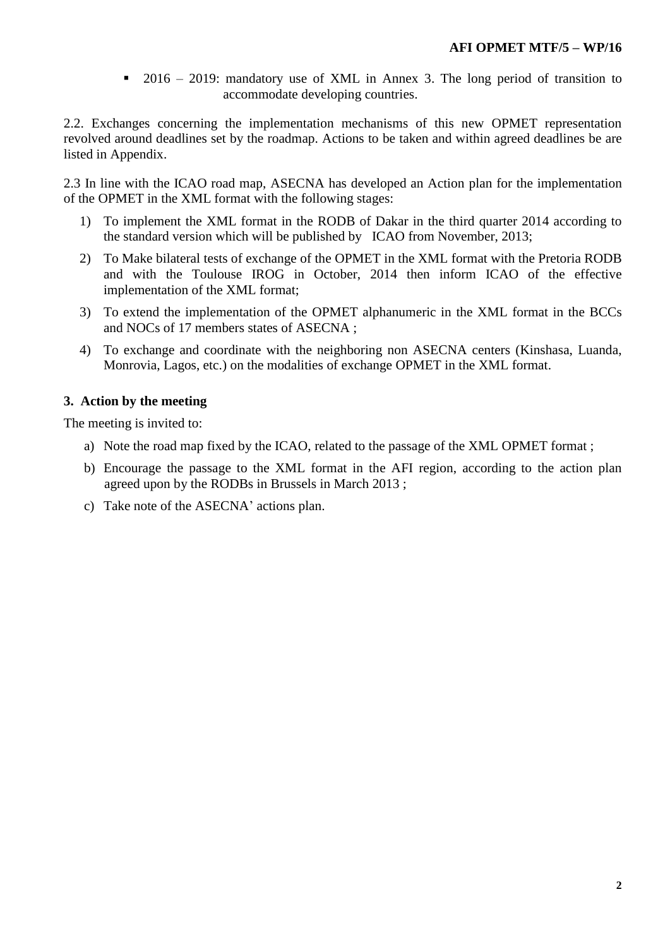2016 – 2019: mandatory use of XML in Annex 3. The long period of transition to accommodate developing countries.

2.2. Exchanges concerning the implementation mechanisms of this new OPMET representation revolved around deadlines set by the roadmap. Actions to be taken and within agreed deadlines be are listed in Appendix.

2.3 In line with the ICAO road map, ASECNA has developed an Action plan for the implementation of the OPMET in the XML format with the following stages:

- 1) To implement the XML format in the RODB of Dakar in the third quarter 2014 according to the standard version which will be published by ICAO from November, 2013;
- 2) To Make bilateral tests of exchange of the OPMET in the XML format with the Pretoria RODB and with the Toulouse IROG in October, 2014 then inform ICAO of the effective implementation of the XML format;
- 3) To extend the implementation of the OPMET alphanumeric in the XML format in the BCCs and NOCs of 17 members states of ASECNA ;
- 4) To exchange and coordinate with the neighboring non ASECNA centers (Kinshasa, Luanda, Monrovia, Lagos, etc.) on the modalities of exchange OPMET in the XML format.

#### **3. Action by the meeting**

The meeting is invited to:

- a) Note the road map fixed by the ICAO, related to the passage of the XML OPMET format ;
- b) Encourage the passage to the XML format in the AFI region, according to the action plan agreed upon by the RODBs in Brussels in March 2013 ;
- c) Take note of the ASECNA' actions plan.